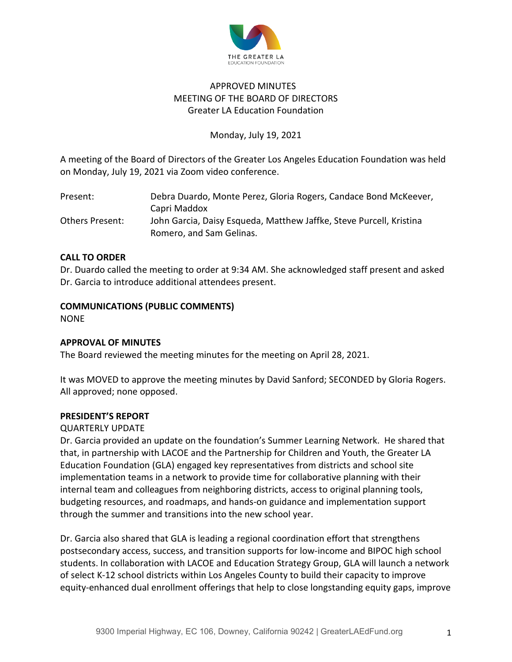

# APPROVED MINUTES MEETING OF THE BOARD OF DIRECTORS Greater LA Education Foundation

## Monday, July 19, 2021

A meeting of the Board of Directors of the Greater Los Angeles Education Foundation was held on Monday, July 19, 2021 via Zoom video conference.

| Present:        | Debra Duardo, Monte Perez, Gloria Rogers, Candace Bond McKeever,    |
|-----------------|---------------------------------------------------------------------|
|                 | Capri Maddox                                                        |
| Others Present: | John Garcia, Daisy Esqueda, Matthew Jaffke, Steve Purcell, Kristina |
|                 | Romero, and Sam Gelinas.                                            |

#### **CALL TO ORDER**

Dr. Duardo called the meeting to order at 9:34 AM. She acknowledged staff present and asked Dr. Garcia to introduce additional attendees present.

## **COMMUNICATIONS (PUBLIC COMMENTS)**

NONE

## **APPROVAL OF MINUTES**

The Board reviewed the meeting minutes for the meeting on April 28, 2021.

It was MOVED to approve the meeting minutes by David Sanford; SECONDED by Gloria Rogers. All approved; none opposed.

#### **PRESIDENT'S REPORT**

#### QUARTERLY UPDATE

Dr. Garcia provided an update on the foundation's Summer Learning Network. He shared that that, in partnership with LACOE and the Partnership for Children and Youth, the Greater LA Education Foundation (GLA) engaged key representatives from districts and school site implementation teams in a network to provide time for collaborative planning with their internal team and colleagues from neighboring districts, access to original planning tools, budgeting resources, and roadmaps, and hands-on guidance and implementation support through the summer and transitions into the new school year.

Dr. Garcia also shared that GLA is leading a regional coordination effort that strengthens postsecondary access, success, and transition supports for low-income and BIPOC high school students. In collaboration with LACOE and Education Strategy Group, GLA will launch a network of select K-12 school districts within Los Angeles County to build their capacity to improve equity-enhanced dual enrollment offerings that help to close longstanding equity gaps, improve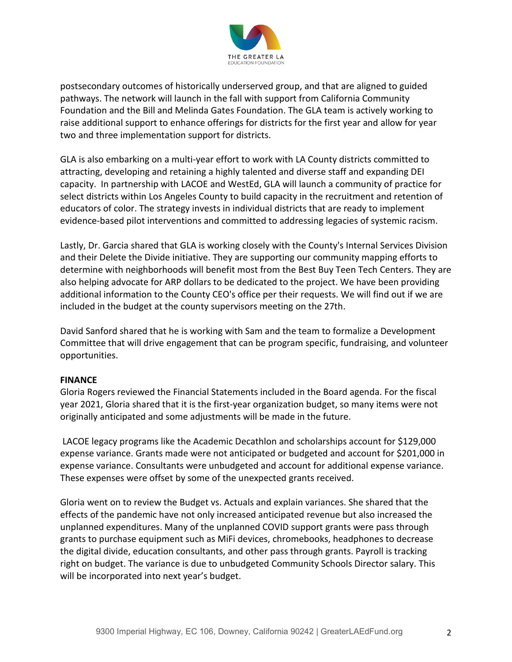

postsecondary outcomes of historically underserved group, and that are aligned to guided pathways. The network will launch in the fall with support from California Community Foundation and the Bill and Melinda Gates Foundation. The GLA team is actively working to raise additional support to enhance offerings for districts for the first year and allow for year two and three implementation support for districts.

GLA is also embarking on a multi-year effort to work with LA County districts committed to attracting, developing and retaining a highly talented and diverse staff and expanding DEI capacity. In partnership with LACOE and WestEd, GLA will launch a community of practice for select districts within Los Angeles County to build capacity in the recruitment and retention of educators of color. The strategy invests in individual districts that are ready to implement evidence-based pilot interventions and committed to addressing legacies of systemic racism.

Lastly, Dr. Garcia shared that GLA is working closely with the County's Internal Services Division and their Delete the Divide initiative. They are supporting our community mapping efforts to determine with neighborhoods will benefit most from the Best Buy Teen Tech Centers. They are also helping advocate for ARP dollars to be dedicated to the project. We have been providing additional information to the County CEO's office per their requests. We will find out if we are included in the budget at the county supervisors meeting on the 27th.

David Sanford shared that he is working with Sam and the team to formalize a Development Committee that will drive engagement that can be program specific, fundraising, and volunteer opportunities.

#### **FINANCE**

Gloria Rogers reviewed the Financial Statements included in the Board agenda. For the fiscal year 2021, Gloria shared that it is the first-year organization budget, so many items were not originally anticipated and some adjustments will be made in the future.

LACOE legacy programs like the Academic Decathlon and scholarships account for \$129,000 expense variance. Grants made were not anticipated or budgeted and account for \$201,000 in expense variance. Consultants were unbudgeted and account for additional expense variance. These expenses were offset by some of the unexpected grants received.

Gloria went on to review the Budget vs. Actuals and explain variances. She shared that the effects of the pandemic have not only increased anticipated revenue but also increased the unplanned expenditures. Many of the unplanned COVID support grants were pass through grants to purchase equipment such as MiFi devices, chromebooks, headphones to decrease the digital divide, education consultants, and other pass through grants. Payroll is tracking right on budget. The variance is due to unbudgeted Community Schools Director salary. This will be incorporated into next year's budget.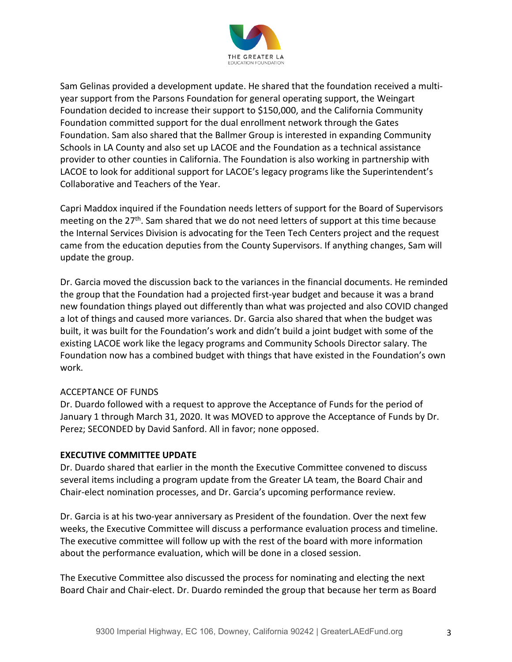

Sam Gelinas provided a development update. He shared that the foundation received a multiyear support from the Parsons Foundation for general operating support, the Weingart Foundation decided to increase their support to \$150,000, and the California Community Foundation committed support for the dual enrollment network through the Gates Foundation. Sam also shared that the Ballmer Group is interested in expanding Community Schools in LA County and also set up LACOE and the Foundation as a technical assistance provider to other counties in California. The Foundation is also working in partnership with LACOE to look for additional support for LACOE's legacy programs like the Superintendent's Collaborative and Teachers of the Year.

Capri Maddox inquired if the Foundation needs letters of support for the Board of Supervisors meeting on the  $27<sup>th</sup>$ . Sam shared that we do not need letters of support at this time because the Internal Services Division is advocating for the Teen Tech Centers project and the request came from the education deputies from the County Supervisors. If anything changes, Sam will update the group.

Dr. Garcia moved the discussion back to the variances in the financial documents. He reminded the group that the Foundation had a projected first-year budget and because it was a brand new foundation things played out differently than what was projected and also COVID changed a lot of things and caused more variances. Dr. Garcia also shared that when the budget was built, it was built for the Foundation's work and didn't build a joint budget with some of the existing LACOE work like the legacy programs and Community Schools Director salary. The Foundation now has a combined budget with things that have existed in the Foundation's own work.

#### ACCEPTANCE OF FUNDS

Dr. Duardo followed with a request to approve the Acceptance of Funds for the period of January 1 through March 31, 2020. It was MOVED to approve the Acceptance of Funds by Dr. Perez; SECONDED by David Sanford. All in favor; none opposed.

#### **EXECUTIVE COMMITTEE UPDATE**

Dr. Duardo shared that earlier in the month the Executive Committee convened to discuss several items including a program update from the Greater LA team, the Board Chair and Chair-elect nomination processes, and Dr. Garcia's upcoming performance review.

Dr. Garcia is at his two-year anniversary as President of the foundation. Over the next few weeks, the Executive Committee will discuss a performance evaluation process and timeline. The executive committee will follow up with the rest of the board with more information about the performance evaluation, which will be done in a closed session.

The Executive Committee also discussed the process for nominating and electing the next Board Chair and Chair-elect. Dr. Duardo reminded the group that because her term as Board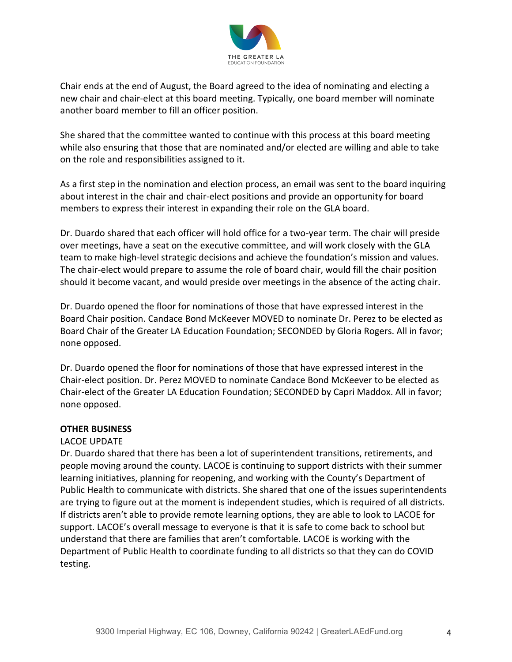

Chair ends at the end of August, the Board agreed to the idea of nominating and electing a new chair and chair-elect at this board meeting. Typically, one board member will nominate another board member to fill an officer position.

She shared that the committee wanted to continue with this process at this board meeting while also ensuring that those that are nominated and/or elected are willing and able to take on the role and responsibilities assigned to it.

As a first step in the nomination and election process, an email was sent to the board inquiring about interest in the chair and chair-elect positions and provide an opportunity for board members to express their interest in expanding their role on the GLA board.

Dr. Duardo shared that each officer will hold office for a two-year term. The chair will preside over meetings, have a seat on the executive committee, and will work closely with the GLA team to make high-level strategic decisions and achieve the foundation's mission and values. The chair-elect would prepare to assume the role of board chair, would fill the chair position should it become vacant, and would preside over meetings in the absence of the acting chair.

Dr. Duardo opened the floor for nominations of those that have expressed interest in the Board Chair position. Candace Bond McKeever MOVED to nominate Dr. Perez to be elected as Board Chair of the Greater LA Education Foundation; SECONDED by Gloria Rogers. All in favor; none opposed.

Dr. Duardo opened the floor for nominations of those that have expressed interest in the Chair-elect position. Dr. Perez MOVED to nominate Candace Bond McKeever to be elected as Chair-elect of the Greater LA Education Foundation; SECONDED by Capri Maddox. All in favor; none opposed.

#### **OTHER BUSINESS**

#### LACOE UPDATE

Dr. Duardo shared that there has been a lot of superintendent transitions, retirements, and people moving around the county. LACOE is continuing to support districts with their summer learning initiatives, planning for reopening, and working with the County's Department of Public Health to communicate with districts. She shared that one of the issues superintendents are trying to figure out at the moment is independent studies, which is required of all districts. If districts aren't able to provide remote learning options, they are able to look to LACOE for support. LACOE's overall message to everyone is that it is safe to come back to school but understand that there are families that aren't comfortable. LACOE is working with the Department of Public Health to coordinate funding to all districts so that they can do COVID testing.